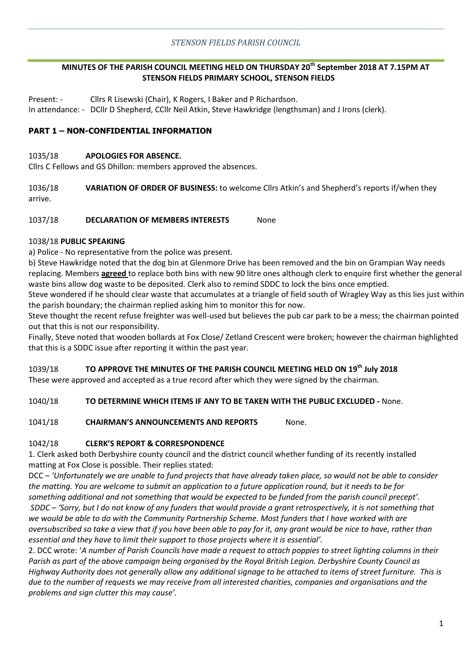## *STENSON FIELDS PARISH COUNCIL*

## **MINUTES OF THE PARISH COUNCIL MEETING HELD ON THURSDAY 20th September 2018 AT 7.15PM AT STENSON FIELDS PRIMARY SCHOOL, STENSON FIELDS**

Present: - Cllrs R Lisewski (Chair), K Rogers, I Baker and P Richardson. In attendance: - DCllr D Shepherd, CCllr Neil Atkin, Steve Hawkridge (lengthsman) and J Irons (clerk).

## **PART 1 – NON-CONFIDENTIAL INFORMATION**

#### 1035/18 **APOLOGIES FOR ABSENCE.**

Cllrs C Fellows and GS Dhillon: members approved the absences.

1036/18 **VARIATION OF ORDER OF BUSINESS:** to welcome Cllrs Atkin's and Shepherd's reports if/when they arrive.

1037/18 **DECLARATION OF MEMBERS INTERESTS** None

#### 1038/18 **PUBLIC SPEAKING**

a) Police - No representative from the police was present.

b) Steve Hawkridge noted that the dog bin at Glenmore Drive has been removed and the bin on Grampian Way needs replacing. Members **agreed** to replace both bins with new 90 litre ones although clerk to enquire first whether the general waste bins allow dog waste to be deposited. Clerk also to remind SDDC to lock the bins once emptied.

Steve wondered if he should clear waste that accumulates at a triangle of field south of Wragley Way as this lies just within the parish boundary; the chairman replied asking him to monitor this for now.

Steve thought the recent refuse freighter was well-used but believes the pub car park to be a mess; the chairman pointed out that this is not our responsibility.

Finally, Steve noted that wooden bollards at Fox Close/ Zetland Crescent were broken; however the chairman highlighted that this is a SDDC issue after reporting it within the past year.

## 1039/18 **TO APPROVE THE MINUTES OF THE PARISH COUNCIL MEETING HELD ON 19th July 2018**

These were approved and accepted as a true record after which they were signed by the chairman.

## 1040/18 **TO DETERMINE WHICH ITEMS IF ANY TO BE TAKEN WITH THE PUBLIC EXCLUDED -** None.

## 1041/18 **CHAIRMAN'S ANNOUNCEMENTS AND REPORTS** None.

## 1042/18 **CLERK'S REPORT & CORRESPONDENCE**

1. Clerk asked both Derbyshire county council and the district council whether funding of its recently installed matting at Fox Close is possible. Their replies stated:

DCC – *'Unfortunately we are unable to fund projects that have already taken place, so would not be able to consider the matting. You are welcome to submit an application to a future application round, but it needs to be for something additional and not something that would be expected to be funded from the parish council precept'. SDDC – 'Sorry, but I do not know of any funders that would provide a grant retrospectively, it is not something that we would be able to do with the Community Partnership Scheme. Most funders that I have worked with are oversubscribed so take a view that if you have been able to pay for it, any grant would be nice to have, rather than essential and they have to limit their support to those projects where it is essential'.* 

2. DCC wrote: '*A number of Parish Councils have made a request to attach poppies to street lighting columns in their Parish as part of the above campaign being organised by the Royal British Legion. Derbyshire County Council as Highway Authority does not generally allow any additional signage to be attached to items of street furniture. This is due to the number of requests we may receive from all interested charities, companies and organisations and the problems and sign clutter this may cause'.*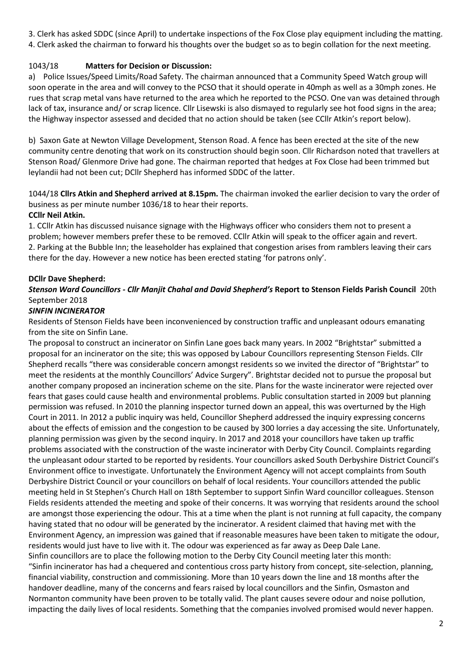3. Clerk has asked SDDC (since April) to undertake inspections of the Fox Close play equipment including the matting. 4. Clerk asked the chairman to forward his thoughts over the budget so as to begin collation for the next meeting.

# 1043/18 **Matters for Decision or Discussion:**

a) Police Issues/Speed Limits/Road Safety. The chairman announced that a Community Speed Watch group will soon operate in the area and will convey to the PCSO that it should operate in 40mph as well as a 30mph zones. He rues that scrap metal vans have returned to the area which he reported to the PCSO. One van was detained through lack of tax, insurance and/ or scrap licence. Cllr Lisewski is also dismayed to regularly see hot food signs in the area; the Highway inspector assessed and decided that no action should be taken (see CCllr Atkin's report below).

b) Saxon Gate at Newton Village Development, Stenson Road. A fence has been erected at the site of the new community centre denoting that work on its construction should begin soon. Cllr Richardson noted that travellers at Stenson Road/ Glenmore Drive had gone. The chairman reported that hedges at Fox Close had been trimmed but leylandii had not been cut; DCllr Shepherd has informed SDDC of the latter.

1044/18 **Cllrs Atkin and Shepherd arrived at 8.15pm.** The chairman invoked the earlier decision to vary the order of business as per minute number 1036/18 to hear their reports. **CCllr Neil Atkin.**

## 1. CCllr Atkin has discussed nuisance signage with the Highways officer who considers them not to present a problem; however members prefer these to be removed. CCllr Atkin will speak to the officer again and revert. 2. Parking at the Bubble Inn; the leaseholder has explained that congestion arises from ramblers leaving their cars there for the day. However a new notice has been erected stating 'for patrons only'.

## **DCllr Dave Shepherd:**

# *Stenson Ward Councillors - Cllr Manjit Chahal and David Shepherd's* **Report to Stenson Fields Parish Council** 20th September 2018

## *SINFIN INCINERATOR*

Residents of Stenson Fields have been inconvenienced by construction traffic and unpleasant odours emanating from the site on Sinfin Lane.

The proposal to construct an incinerator on Sinfin Lane goes back many years. In 2002 "Brightstar" submitted a proposal for an incinerator on the site; this was opposed by Labour Councillors representing Stenson Fields. Cllr Shepherd recalls "there was considerable concern amongst residents so we invited the director of "Brightstar" to meet the residents at the monthly Councillors' Advice Surgery". Brightstar decided not to pursue the proposal but another company proposed an incineration scheme on the site. Plans for the waste incinerator were rejected over fears that gases could cause health and environmental problems. Public consultation started in 2009 but planning permission was refused. In 2010 the planning inspector turned down an appeal, this was overturned by the High Court in 2011. In 2012 a public inquiry was held, Councillor Shepherd addressed the inquiry expressing concerns about the effects of emission and the congestion to be caused by 300 lorries a day accessing the site. Unfortunately, planning permission was given by the second inquiry. In 2017 and 2018 your councillors have taken up traffic problems associated with the construction of the waste incinerator with Derby City Council. Complaints regarding the unpleasant odour started to be reported by residents. Your councillors asked South Derbyshire District Council's Environment office to investigate. Unfortunately the Environment Agency will not accept complaints from South Derbyshire District Council or your councillors on behalf of local residents. Your councillors attended the public meeting held in St Stephen's Church Hall on 18th September to support Sinfin Ward councillor colleagues. Stenson Fields residents attended the meeting and spoke of their concerns. It was worrying that residents around the school are amongst those experiencing the odour. This at a time when the plant is not running at full capacity, the company having stated that no odour will be generated by the incinerator. A resident claimed that having met with the Environment Agency, an impression was gained that if reasonable measures have been taken to mitigate the odour, residents would just have to live with it. The odour was experienced as far away as Deep Dale Lane. Sinfin councillors are to place the following motion to the Derby City Council meeting later this month: "Sinfin incinerator has had a chequered and contentious cross party history from concept, site-selection, planning, financial viability, construction and commissioning. More than 10 years down the line and 18 months after the handover deadline, many of the concerns and fears raised by local councillors and the Sinfin, Osmaston and Normanton community have been proven to be totally valid. The plant causes severe odour and noise pollution, impacting the daily lives of local residents. Something that the companies involved promised would never happen.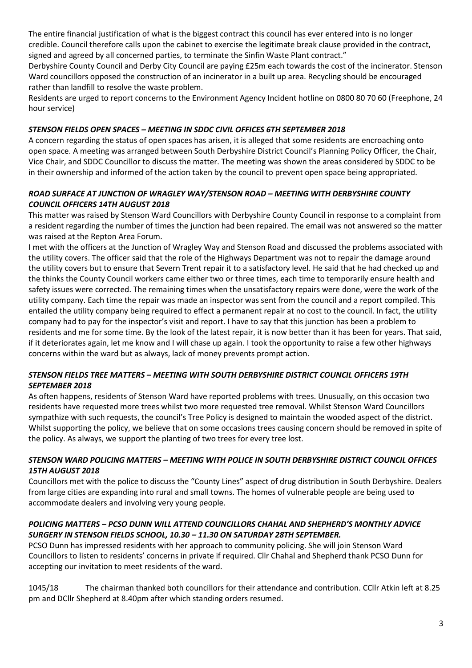The entire financial justification of what is the biggest contract this council has ever entered into is no longer credible. Council therefore calls upon the cabinet to exercise the legitimate break clause provided in the contract, signed and agreed by all concerned parties, to terminate the Sinfin Waste Plant contract."

Derbyshire County Council and Derby City Council are paying £25m each towards the cost of the incinerator. Stenson Ward councillors opposed the construction of an incinerator in a built up area. Recycling should be encouraged rather than landfill to resolve the waste problem.

Residents are urged to report concerns to the Environment Agency Incident hotline on 0800 80 70 60 (Freephone, 24 hour service)

# *STENSON FIELDS OPEN SPACES – MEETING IN SDDC CIVIL OFFICES 6TH SEPTEMBER 2018*

A concern regarding the status of open spaces has arisen, it is alleged that some residents are encroaching onto open space. A meeting was arranged between South Derbyshire District Council's Planning Policy Officer, the Chair, Vice Chair, and SDDC Councillor to discuss the matter. The meeting was shown the areas considered by SDDC to be in their ownership and informed of the action taken by the council to prevent open space being appropriated.

# *ROAD SURFACE AT JUNCTION OF WRAGLEY WAY/STENSON ROAD – MEETING WITH DERBYSHIRE COUNTY COUNCIL OFFICERS 14TH AUGUST 2018*

This matter was raised by Stenson Ward Councillors with Derbyshire County Council in response to a complaint from a resident regarding the number of times the junction had been repaired. The email was not answered so the matter was raised at the Repton Area Forum.

I met with the officers at the Junction of Wragley Way and Stenson Road and discussed the problems associated with the utility covers. The officer said that the role of the Highways Department was not to repair the damage around the utility covers but to ensure that Severn Trent repair it to a satisfactory level. He said that he had checked up and the thinks the County Council workers came either two or three times, each time to temporarily ensure health and safety issues were corrected. The remaining times when the unsatisfactory repairs were done, were the work of the utility company. Each time the repair was made an inspector was sent from the council and a report compiled. This entailed the utility company being required to effect a permanent repair at no cost to the council. In fact, the utility company had to pay for the inspector's visit and report. I have to say that this junction has been a problem to residents and me for some time. By the look of the latest repair, it is now better than it has been for years. That said, if it deteriorates again, let me know and I will chase up again. I took the opportunity to raise a few other highways concerns within the ward but as always, lack of money prevents prompt action.

## *STENSON FIELDS TREE MATTERS – MEETING WITH SOUTH DERBYSHIRE DISTRICT COUNCIL OFFICERS 19TH SEPTEMBER 2018*

As often happens, residents of Stenson Ward have reported problems with trees. Unusually, on this occasion two residents have requested more trees whilst two more requested tree removal. Whilst Stenson Ward Councillors sympathize with such requests, the council's Tree Policy is designed to maintain the wooded aspect of the district. Whilst supporting the policy, we believe that on some occasions trees causing concern should be removed in spite of the policy. As always, we support the planting of two trees for every tree lost.

## *STENSON WARD POLICING MATTERS – MEETING WITH POLICE IN SOUTH DERBYSHIRE DISTRICT COUNCIL OFFICES 15TH AUGUST 2018*

Councillors met with the police to discuss the "County Lines" aspect of drug distribution in South Derbyshire. Dealers from large cities are expanding into rural and small towns. The homes of vulnerable people are being used to accommodate dealers and involving very young people.

## *POLICING MATTERS – PCSO DUNN WILL ATTEND COUNCILLORS CHAHAL AND SHEPHERD'S MONTHLY ADVICE SURGERY IN STENSON FIELDS SCHOOL, 10.30 – 11.30 ON SATURDAY 28TH SEPTEMBER.*

PCSO Dunn has impressed residents with her approach to community policing. She will join Stenson Ward Councillors to listen to residents' concerns in private if required. Cllr Chahal and Shepherd thank PCSO Dunn for accepting our invitation to meet residents of the ward.

1045/18 The chairman thanked both councillors for their attendance and contribution. CCllr Atkin left at 8.25 pm and DCllr Shepherd at 8.40pm after which standing orders resumed.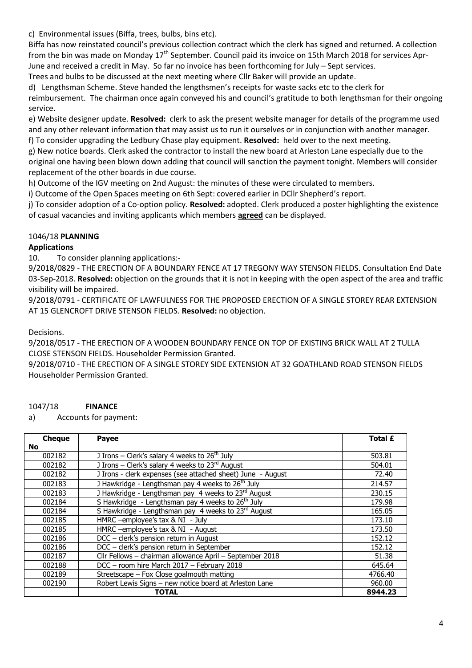c) Environmental issues (Biffa, trees, bulbs, bins etc).

Biffa has now reinstated council's previous collection contract which the clerk has signed and returned. A collection from the bin was made on Monday 17<sup>th</sup> September. Council paid its invoice on 15th March 2018 for services Apr-June and received a credit in May. So far no invoice has been forthcoming for July – Sept services.

Trees and bulbs to be discussed at the next meeting where Cllr Baker will provide an update.

d) Lengthsman Scheme. Steve handed the lengthsmen's receipts for waste sacks etc to the clerk for

reimbursement. The chairman once again conveyed his and council's gratitude to both lengthsman for their ongoing service.

e) Website designer update. **Resolved:** clerk to ask the present website manager for details of the programme used and any other relevant information that may assist us to run it ourselves or in conjunction with another manager. f) To consider upgrading the Ledbury Chase play equipment. **Resolved:** held over to the next meeting.

g) New notice boards. Clerk asked the contractor to install the new board at Arleston Lane especially due to the original one having been blown down adding that council will sanction the payment tonight. Members will consider

replacement of the other boards in due course.

h) Outcome of the IGV meeting on 2nd August: the minutes of these were circulated to members.

i) Outcome of the Open Spaces meeting on 6th Sept: covered earlier in DCllr Shepherd's report.

j) To consider adoption of a Co-option policy. **Resolved:** adopted. Clerk produced a poster highlighting the existence of casual vacancies and inviting applicants which members **agreed** can be displayed.

## 1046/18 **PLANNING**

## **Applications**

10. To consider planning applications:-

9/2018/0829 - THE ERECTION OF A BOUNDARY FENCE AT 17 TREGONY WAY STENSON FIELDS. Consultation End Date 03-Sep-2018. **Resolved:** objection on the grounds that it is not in keeping with the open aspect of the area and traffic visibility will be impaired.

9/2018/0791 - CERTIFICATE OF LAWFULNESS FOR THE PROPOSED ERECTION OF A SINGLE STOREY REAR EXTENSION AT 15 GLENCROFT DRIVE STENSON FIELDS. **Resolved:** no objection.

#### Decisions.

9/2018/0517 - THE ERECTION OF A WOODEN BOUNDARY FENCE ON TOP OF EXISTING BRICK WALL AT 2 TULLA CLOSE STENSON FIELDS. Householder Permission Granted.

9/2018/0710 - THE ERECTION OF A SINGLE STOREY SIDE EXTENSION AT 32 GOATHLAND ROAD STENSON FIELDS Householder Permission Granted.

## 1047/18 **FINANCE**

a) Accounts for payment:

| <b>Cheque</b> | <b>Payee</b>                                                        | Total £ |
|---------------|---------------------------------------------------------------------|---------|
| <b>No</b>     |                                                                     |         |
| 002182        | J Irons – Clerk's salary 4 weeks to $26th$ July                     | 503.81  |
| 002182        | J Irons – Clerk's salary 4 weeks to $23^{rd}$ August                | 504.01  |
| 002182        | J Irons - clerk expenses (see attached sheet) June - August         | 72.40   |
| 002183        | J Hawkridge - Lengthsman pay 4 weeks to 26 <sup>th</sup> July       | 214.57  |
| 002183        | J Hawkridge - Lengthsman pay 4 weeks to 23rd August                 | 230.15  |
| 002184        | S Hawkridge - Lengthsman pay 4 weeks to $26th$ July                 | 179.98  |
| 002184        | S Hawkridge - Lengthsman pay 4 weeks to $23^{\overline{rd}}$ August | 165.05  |
| 002185        | HMRC -employee's tax & NI - July                                    | 173.10  |
| 002185        | HMRC - employee's tax & NI - August                                 | 173.50  |
| 002186        | DCC - clerk's pension return in August                              | 152.12  |
| 002186        | DCC - clerk's pension return in September                           | 152.12  |
| 002187        | Cllr Fellows - chairman allowance April - September 2018            | 51.38   |
| 002188        | DCC - room hire March 2017 - February 2018                          | 645.64  |
| 002189        | Streetscape - Fox Close goalmouth matting                           | 4766.40 |
| 002190        | Robert Lewis Signs - new notice board at Arleston Lane              | 960.00  |
|               | <b>TOTAL</b>                                                        | 8944.23 |